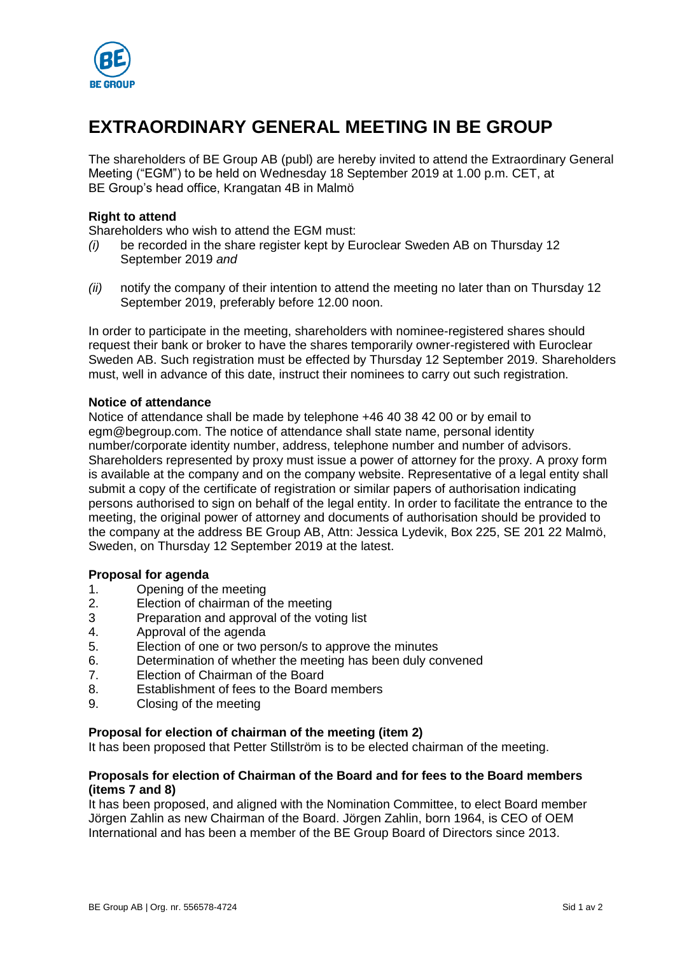

# **EXTRAORDINARY GENERAL MEETING IN BE GROUP**

The shareholders of BE Group AB (publ) are hereby invited to attend the Extraordinary General Meeting ("EGM") to be held on Wednesday 18 September 2019 at 1.00 p.m. CET, at BE Group's head office, Krangatan 4B in Malmö

# **Right to attend**

Shareholders who wish to attend the EGM must:

- *(i)* be recorded in the share register kept by Euroclear Sweden AB on Thursday 12 September 2019 *and*
- *(ii)* notify the company of their intention to attend the meeting no later than on Thursday 12 September 2019, preferably before 12.00 noon.

In order to participate in the meeting, shareholders with nominee-registered shares should request their bank or broker to have the shares temporarily owner-registered with Euroclear Sweden AB. Such registration must be effected by Thursday 12 September 2019. Shareholders must, well in advance of this date, instruct their nominees to carry out such registration.

## **Notice of attendance**

Notice of attendance shall be made by telephone +46 40 38 42 00 or by email to egm@begroup.com. The notice of attendance shall state name, personal identity number/corporate identity number, address, telephone number and number of advisors. Shareholders represented by proxy must issue a power of attorney for the proxy. A proxy form is available at the company and on the company website. Representative of a legal entity shall submit a copy of the certificate of registration or similar papers of authorisation indicating persons authorised to sign on behalf of the legal entity. In order to facilitate the entrance to the meeting, the original power of attorney and documents of authorisation should be provided to the company at the address BE Group AB, Attn: Jessica Lydevik, Box 225, SE 201 22 Malmö, Sweden, on Thursday 12 September 2019 at the latest.

# **Proposal for agenda**

- 1. Opening of the meeting
- 2. Election of chairman of the meeting
- 3 Preparation and approval of the voting list
- 4. Approval of the agenda
- 5. Election of one or two person/s to approve the minutes
- 6. Determination of whether the meeting has been duly convened
- 7. Election of Chairman of the Board
- 8. Establishment of fees to the Board members
- 9. Closing of the meeting

#### **Proposal for election of chairman of the meeting (item 2)**

It has been proposed that Petter Stillström is to be elected chairman of the meeting.

#### **Proposals for election of Chairman of the Board and for fees to the Board members (items 7 and 8)**

It has been proposed, and aligned with the Nomination Committee, to elect Board member Jörgen Zahlin as new Chairman of the Board. Jörgen Zahlin, born 1964, is CEO of OEM International and has been a member of the BE Group Board of Directors since 2013.